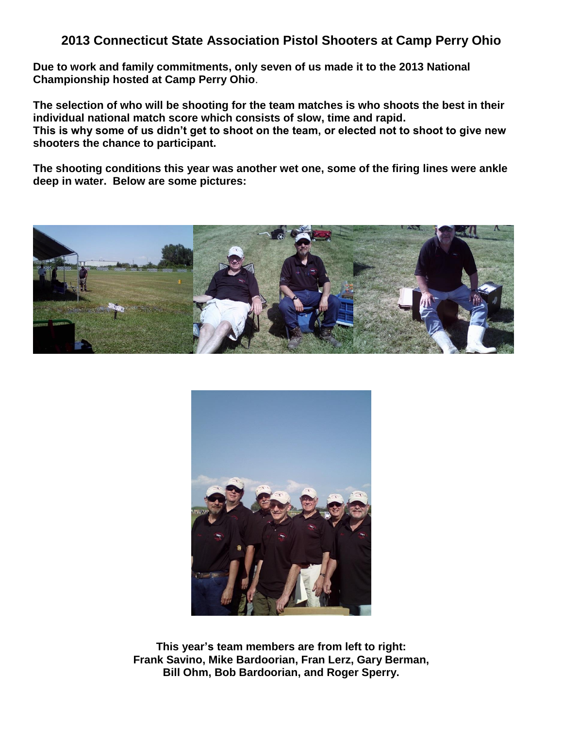#### **2013 Connecticut State Association Pistol Shooters at Camp Perry Ohio**

**Due to work and family commitments, only seven of us made it to the 2013 National Championship hosted at Camp Perry Ohio**.

**The selection of who will be shooting for the team matches is who shoots the best in their individual national match score which consists of slow, time and rapid. This is why some of us didn't get to shoot on the team, or elected not to shoot to give new shooters the chance to participant.**

**The shooting conditions this year was another wet one, some of the firing lines were ankle deep in water. Below are some pictures:**





**This year's team members are from left to right: Frank Savino, Mike Bardoorian, Fran Lerz, Gary Berman, Bill Ohm, Bob Bardoorian, and Roger Sperry.**